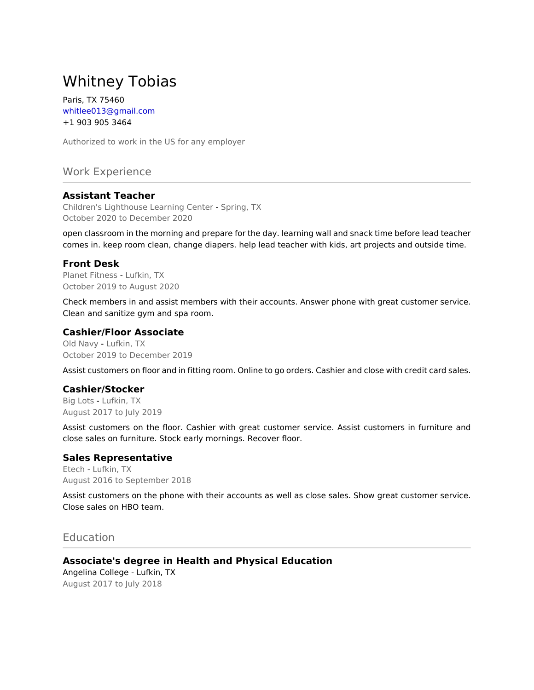# Whitney Tobias

Paris, TX 75460 whitlee013@gmail.com +1 903 905 3464

Authorized to work in the US for any employer

Work Experience

### **Assistant Teacher**

Children's Lighthouse Learning Center - Spring, TX October 2020 to December 2020

open classroom in the morning and prepare for the day. learning wall and snack time before lead teacher comes in. keep room clean, change diapers. help lead teacher with kids, art projects and outside time.

#### **Front Desk**

Planet Fitness - Lufkin, TX October 2019 to August 2020

Check members in and assist members with their accounts. Answer phone with great customer service. Clean and sanitize gym and spa room.

#### **Cashier/Floor Associate**

Old Navy - Lufkin, TX October 2019 to December 2019

Assist customers on floor and in fitting room. Online to go orders. Cashier and close with credit card sales.

#### **Cashier/Stocker**

Big Lots - Lufkin, TX August 2017 to July 2019

Assist customers on the floor. Cashier with great customer service. Assist customers in furniture and close sales on furniture. Stock early mornings. Recover floor.

#### **Sales Representative**

Etech - Lufkin, TX August 2016 to September 2018

Assist customers on the phone with their accounts as well as close sales. Show great customer service. Close sales on HBO team.

## Education

**Associate's degree in Health and Physical Education** Angelina College - Lufkin, TX August 2017 to July 2018